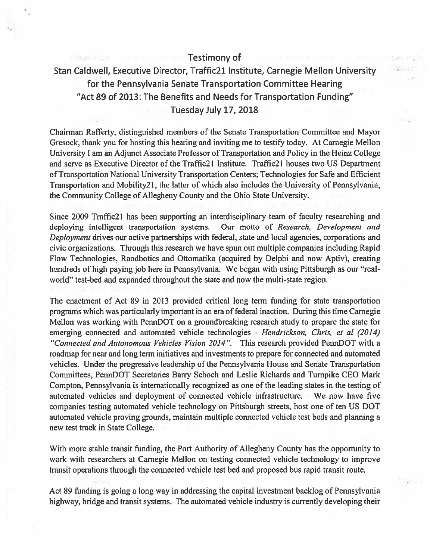## Testimony of

## Stan CaIdwell, Executive Director, Traffic2l Institute, Carnegie Mellon University for the Pennsylvania Senate Transportation Committee Hearing "Act 89 of 2013: The Benefits and Needs for Transportation Funding" Tuesday July 17, 2018

Chairman Rafferty, distinguished members of the Senate Transportation Committee and Mayor Oresock, thank you for hosting this hearing and inviting me to testify today. At Carnegie Mellon University I am an Adjunct Associate Professor of Transportation and Policy in the Heinz College and serve as Executive Director of the Traffic2l Institute. Traffic2l houses two US Department ofTransportation National University Transportation Centers; Technologies for Safe and Efficient Transportation and Mobility2 I, the latter of which also includes the University of Pennsylvania, the Community College of Allegheny County and the Ohio State University.

Since 2009 Traffic2l has been supporting an interdisciplinary team of faculty researching and deploying intelligent transportation systems. Our motto of Research, Development and Deployment drives our active partnerships with federal, state and local agencies, corporations and civic organizations. Through this research we have spun out multiple companies including Rapid Flow Technologies, Raodbotics and Ottomatika (acquired by Delphi and now Aptiv), creating hundreds of high paying job here in Pennsylvania. We began with using Pittsburgh as our "realworld" test-bed and expanded throughout the state and now the multi-state region.

The enactment of Act 89 in 2013 provided critical long term funding for state transportation programs which was particularly important in an era of federal inaction. During this time Carnegie Mellon was working with PennDOT on <sup>a</sup> groundbreaking research study to prepare the state for emerging connected and automated vehicle technologies - Hendrickson, Chris, et al (2014) "Connected and Autonomous Vehicles Vision 2014". This research provided PennDOT with a roadmap for near and long term initiatives and investments to prepare for connected and automated vehicles. Under the progressive leadership of the Pennsylvania House and Senate Transportation Committees, PennDOT Secretaries Barry Schoch and Leslie Richards and Turnpike CEO Mark Compton, Pennsylvania is internationally recognized as one of the leading states in the testing of automated vehicles and deployment of connected vehicle infrastructure. We now have five companies testing automated vehicle technology on Pittsburgh streets, host one of ten US DOT automated vehicle proving grounds, maintain multiple connected vehicle test beds and planning <sup>a</sup> new test track in State College.

With more stable transit funding, the Port Authority of Allegheny County has the opportunity to work with researchers at Carnegie Mellon on testing connected vehicle technology to improve transit operations through the connected vehicle test bed and proposed bus rapid transit route.

Act 89 finding is going <sup>a</sup> long way in addressing the capital investment backlog of Pennsylvania highway, bridge and transit systems. The automated vehicle industry is currently developing their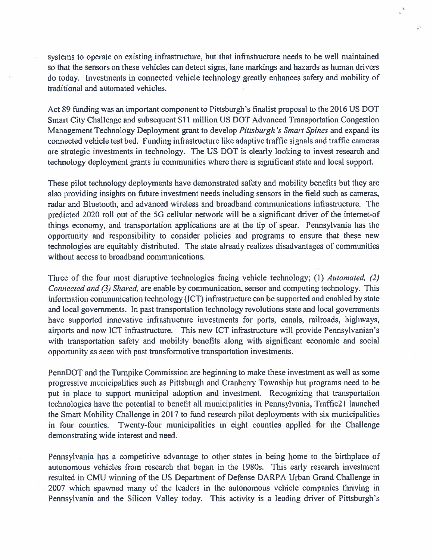systems to operate on existing infrastructure, but that infrastructure needs to be well maintained so that the sensors on these vehicles can detect signs, lane markings and hazards as human drivers do today. Investments in connected vehicle technology greatly enhances safety and mobility of traditional and automated vehicles.

Act 89 funding was an important componen<sup>t</sup> to Pittsburgh's finalist proposal to the 2016 US DOT Smart City Challenge and subsequent \$11 million US DOT Advanced Transportation Congestion Management Technology Deployment grant to develop Pittsburgh's Smart Spines and expand its connected vehicle test bed. Funding infrastructure like adaptive traffic signals and traffic cameras are strategic investments in technology. The US DOT is clearly looking to invest research and technology deployment grants in communities where there is significant state and local support.

These pilot technology deployments have demonstrated safety and mobility benefits but they are also providing insights on future investment needs including sensors in the field such as cameras, radar and Bluetooth, and advanced wireless and broadband communications infrastructure. The predicted 2020 roll out of the 5G cellular network will be <sup>a</sup> significant driver of the internet-of things economy, and transportation applications are at the tip of spear. Pennsylvania has the opportunity and responsibility to consider policies and programs to ensure that these new technologies are equitably distributed. The state already realizes disadvantages of communities without access to broadband communications.

Three of the four most disruptive technologies facing vehicle technology; (1) Automated, (2) Connected and (3) Shared, are enable by communication, sensor and computing technology. This information communication technology (ICT) infrastructure can be supported and enabled by state and local governments. In pas<sup>t</sup> transportation technology revolutions state and local governments have supported innovative infrastructure investments for ports, canals, railroads, highways, airports and now ICT infrastructure. This new ICT infrastructure will provide Pennsylvanian's with transportation safety and mobility benefits along with significant economic and social opportunity as seen with pas<sup>t</sup> transformative transportation investments.

PennDOT and the Turnpike Commission are beginning to make these investment as well as some progressive municipalities such as Pittsburgh and Cranberry Township but programs need to be pu<sup>t</sup> in place to suppor<sup>t</sup> municipal adoption and investment. Recognizing that transportation technologies have the potential to benefit all municipalities in Pennsylvania, Traffic2l launched the Smart Mobility Challenge in 2017 to fund research pilot deployments with six municipalities in four counties. Twenty-four municipalities in eight counties applied for the Challenge demonstrating wide interest and need.

Pennsylvania has <sup>a</sup> competitive advantage to other states in being home to the birthplace of autonomous vehicles from research that began in the 1 980s. This early research investment resulted in CMU winning of the US Department of Defense DARPA Urban Grand Challenge in 2007 which spawned many of the leaders in the autonomous vehicle companies thriving in Pennsylvania and the Silicon Valley today. This activity is <sup>a</sup> leading driver of Pittsburgh's